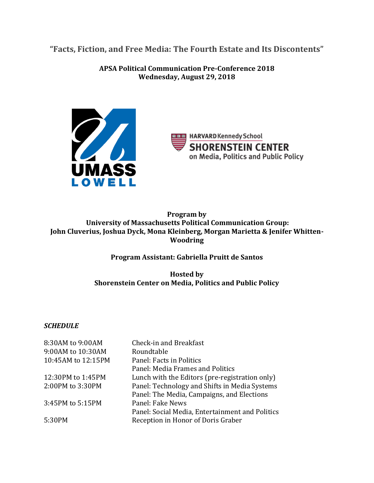**"Facts, Fiction, and Free Media: The Fourth Estate and Its Discontents"**

**APSA Political Communication Pre-Conference 2018 Wednesday, August 29, 2018**



**ROOD HARVARD Kennedy School SHORENSTEIN CENTER** on Media, Politics and Public Policy

**Program by University of Massachusetts Political Communication Group: John Cluverius, Joshua Dyck, Mona Kleinberg, Morgan Marietta & Jenifer Whitten-Woodring**

**Program Assistant: Gabriella Pruitt de Santos**

**Hosted by Shorenstein Center on Media, Politics and Public Policy**

# *SCHEDULE*

| Check-in and Breakfast                          |
|-------------------------------------------------|
| Roundtable                                      |
| Panel: Facts in Politics                        |
| Panel: Media Frames and Politics                |
| Lunch with the Editors (pre-registration only)  |
| Panel: Technology and Shifts in Media Systems   |
| Panel: The Media, Campaigns, and Elections      |
| Panel: Fake News                                |
| Panel: Social Media, Entertainment and Politics |
| Reception in Honor of Doris Graber              |
|                                                 |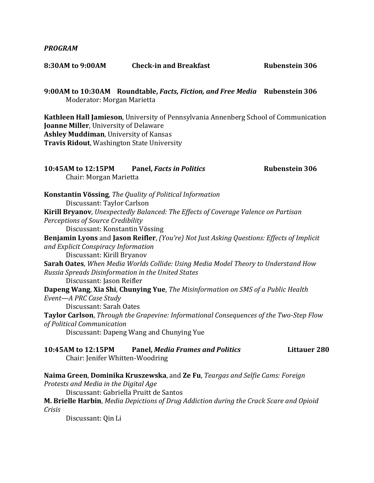### *PROGRAM*

| 8:30AM to 9:00AM | <b>Check-in and Breakfast</b> | <b>Rubenstein 306</b> |
|------------------|-------------------------------|-----------------------|
|                  |                               |                       |

**9:00AM to 10:30AM Roundtable,** *Facts, Fiction, and Free Media* **Rubenstein 306** Moderator: Morgan Marietta

**Kathleen Hall Jamieson**, University of Pennsylvania Annenberg School of Communication **Joanne Miller**, University of Delaware **Ashley Muddiman**, University of Kansas **Travis Ridout**, Washington State University

| Chair: Morgan Marietta                                | 10:45AM to 12:15PM Panel, Facts in Politics                                                              | <b>Rubenstein 306</b> |
|-------------------------------------------------------|----------------------------------------------------------------------------------------------------------|-----------------------|
|                                                       | <b>Konstantin Vössing</b> , The Quality of Political Information                                         |                       |
| Discussant: Taylor Carlson                            |                                                                                                          |                       |
|                                                       | Kirill Bryanov, Unexpectedly Balanced: The Effects of Coverage Valence on Partisan                       |                       |
| Perceptions of Source Credibility                     |                                                                                                          |                       |
| Discussant: Konstantin Vössing                        |                                                                                                          |                       |
|                                                       | <b>Benjamin Lyons</b> and <b>Jason Reifler</b> , (You're) Not Just Asking Questions: Effects of Implicit |                       |
| and Explicit Conspiracy Information                   |                                                                                                          |                       |
| Discussant: Kirill Bryanov                            |                                                                                                          |                       |
|                                                       | <b>Sarah Oates</b> , When Media Worlds Collide: Using Media Model Theory to Understand How               |                       |
| Russia Spreads Disinformation in the United States    |                                                                                                          |                       |
| Discussant: Jason Reifler                             |                                                                                                          |                       |
|                                                       | Dapeng Wang, Xia Shi, Chunying Yue, The Misinformation on SMS of a Public Health                         |                       |
| Event-A PRC Case Study                                |                                                                                                          |                       |
| Discussant: Sarah Oates                               |                                                                                                          |                       |
|                                                       | Taylor Carlson, Through the Grapevine: Informational Consequences of the Two-Step Flow                   |                       |
| of Political Communication                            |                                                                                                          |                       |
|                                                       | Discussant: Dapeng Wang and Chunying Yue                                                                 |                       |
| 10:45AM to 12:15PM<br>Chair: Jenifer Whitten-Woodring | <b>Panel, Media Frames and Politics</b>                                                                  | <b>Littauer 280</b>   |
| Protests and Media in the Digital Age                 | Naima Green, Dominika Kruszewska, and Ze Fu, Teargas and Selfie Cams: Foreign                            |                       |

Discussant: Gabriella Pruitt de Santos

**M. Brielle Harbin**, *Media Depictions of Drug Addiction during the Crack Scare and Opioid Crisis*

Discussant: Qin Li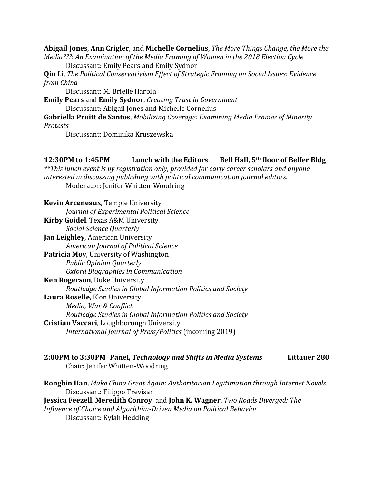**Abigail Jones**, **Ann Crigler**, and **Michelle Cornelius**, *The More Things Change, the More the Media???: An Examination of the Media Framing of Women in the 2018 Election Cycle*

Discussant: Emily Pears and Emily Sydnor

**Qin Li**, *The Political Conservativism Effect of Strategic Framing on Social Issues: Evidence from China*

Discussant: M. Brielle Harbin

**Emily Pears** and **Emily Sydnor**, *Creating Trust in Government* Discussant: Abigail Jones and Michelle Cornelius

**Gabriella Pruitt de Santos**, *Mobilizing Coverage: Examining Media Frames of Minority Protests*

Discussant: Dominika Kruszewska

## **12:30PM to 1:45PM Lunch with the Editors Bell Hall, 5th floor of Belfer Bldg**

*\*\*This lunch event is by registration only, provided for early career scholars and anyone interested in discussing publishing with political communication journal editors.* Moderator: Jenifer Whitten-Woodring

**Kevin Arceneaux**, Temple University *Journal of Experimental Political Science* **Kirby Goidel**, Texas A&M University *Social Science Quarterly* **Jan Leighley**, American University *American Journal of Political Science* **Patricia Moy**, University of Washington *Public Opinion Quarterly Oxford Biographies in Communication* **Ken Rogerson**, Duke University *Routledge Studies in Global Information Politics and Society* **Laura Roselle**, Elon University *Media, War & Conflict Routledge Studies in Global Information Politics and Society* **Cristian Vaccari**, Loughborough University *International Journal of Press/Politics* (incoming 2019)

**2:00PM to 3:30PM Panel,** *Technology and Shifts in Media Systems* **Littauer 280** Chair: Jenifer Whitten-Woodring

**Rongbin Han**, *Make China Great Again: Authoritarian Legitimation through Internet Novels* Discussant: Filippo Trevisan **Jessica Feezell**, **Meredith Conroy,** and **John K. Wagner**, *Two Roads Diverged: The Influence of Choice and Algorithim-Driven Media on Political Behavior* Discussant: Kylah Hedding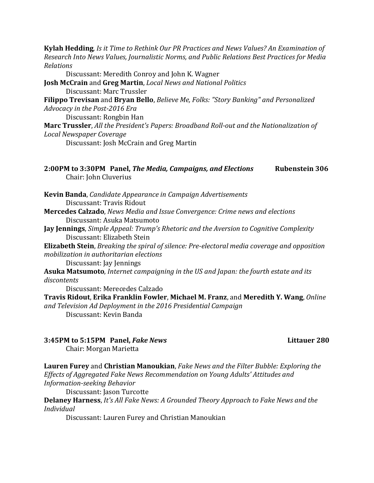**Kylah Hedding**, *Is it Time to Rethink Our PR Practices and News Values? An Examination of Research Into News Values, Journalistic Norms, and Public Relations Best Practices for Media Relations*

Discussant: Meredith Conroy and John K. Wagner

**Josh McCrain** and **Greg Martin**, *Local News and National Politics* Discussant: Marc Trussler

**Filippo Trevisan** and **Bryan Bello**, *Believe Me, Folks: "Story Banking" and Personalized Advocacy in the Post-2016 Era*

Discussant: Rongbin Han

**Marc Trussler**, *All the President's Papers: Broadband Roll-out and the Nationalization of Local Newspaper Coverage*

Discussant: Josh McCrain and Greg Martin

|                       | 2:00PM to 3:30PM Panel, The Media, Campaigns, and Elections | <b>Rubenstein 306</b> |
|-----------------------|-------------------------------------------------------------|-----------------------|
| Chair: John Cluverius |                                                             |                       |

**Kevin Banda**, *Candidate Appearance in Campaign Advertisements* Discussant: Travis Ridout

- **Mercedes Calzado**, *News Media and Issue Convergence: Crime news and elections* Discussant: Asuka Matsumoto
- **Jay Jennings**, *Simple Appeal: Trump's Rhetoric and the Aversion to Cognitive Complexity* Discussant: Elizabeth Stein

**Elizabeth Stein**, *Breaking the spiral of silence: Pre-electoral media coverage and opposition mobilization in authoritarian elections*

Discussant: Jay Jennings

**Asuka Matsumoto**, *Internet campaigning in the US and Japan: the fourth estate and its discontents*

Discussant: Merecedes Calzado

**Travis Ridout**, **Erika Franklin Fowler**, **Michael M. Franz**, and **Meredith Y. Wang**, *Online and Television Ad Deployment in the 2016 Presidential Campaign* Discussant: Kevin Banda

# **3:45PM to 5:15PM Panel,** *Fake News* **Littauer 280**

Chair: Morgan Marietta

**Lauren Furey** and **Christian Manoukian**, *Fake News and the Filter Bubble: Exploring the Effects of Aggregated Fake News Recommendation on Young Adults' Attitudes and Information-seeking Behavior*

Discussant: Jason Turcotte

**Delaney Harness**, *It's All Fake News: A Grounded Theory Approach to Fake News and the Individual*

Discussant: Lauren Furey and Christian Manoukian